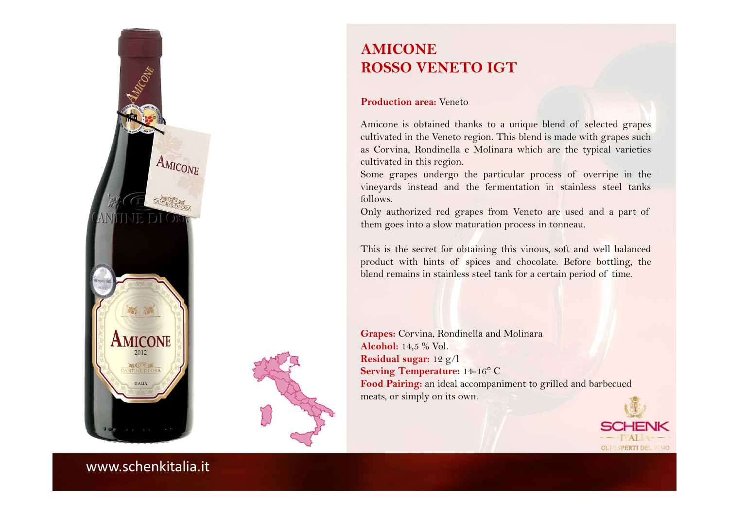



# **AMICONEROSSO VENETO IGT**

#### **Production area:** Veneto

Amicone is obtained thanks to <sup>a</sup> unique blend of selected grapes cultivated in the Veneto region. This blend is made with grapes such as Corvina, Rondinella <sup>e</sup> Molinara which are the typical varieties cultivated in this region.

Some grapes undergo the particular process of overripe in the vineyards instead and the fermentation in stainless steel tanks follows.

Only authorized red grapes from Veneto are used and <sup>a</sup> par<sup>t</sup> of them goes into <sup>a</sup> slow maturation process in tonneau.

This is the secret for obtaining this vinous, soft and well balanced product with hints of spices and chocolate. Before bottling, the blend remains in stainless steel tank for <sup>a</sup> certain period of time.

**Grapes:** Corvina, Rondinella and Molinara **Alcohol:** 14,5 % Vol. **Residual sugar:** 12 g/l **Serving Temperature:** 14-16° C **Food Pairing:** an ideal accompaniment to grilled and barbecued meats, or simply on its own.

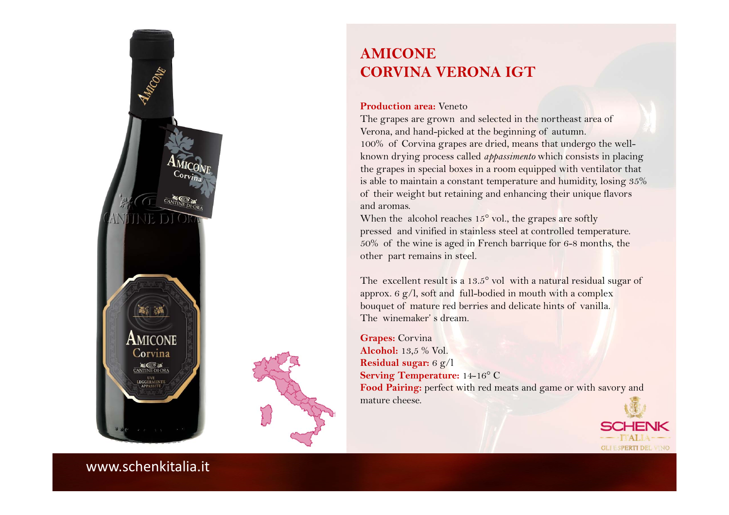



## **AMICONECORVINA VERONA IGT**

#### **Production area:** Veneto

The grapes are grown and selected in the northeast area of Verona, and hand-picked at the beginning of autumn. 100% of Corvina grapes are dried, means that undergo the wellknown drying process called *appassimento* which consists in placing the grapes in special boxes in a room equipped with ventilator that is able to maintain a constant temperature and humidity, losing 35% of their weight but retaining and enhancing their unique flavors and aromas.

When the alcohol reaches  $15^{\circ}$  vol., the grapes are softly pressed and vinified in stainless steel at controlled temperature. 50% of the wine is aged in French barrique for 6-8 months, the other part remains in steel.

The excellent result is a 13.5° vol with a natural residual sugar of approx. 6  $g/l$ , soft and full-bodied in mouth with a complex bouquet of mature red berries and delicate hints of vanilla. The winemaker' s dream.

**Grapes:** Corvina **Alcohol:** 13,5 % Vol. **Residual sugar:** <sup>6</sup> g/l **Serving Temperature:** 14-16° C Food Pairing: perfect with red meats and game or with savory and mature cheese.

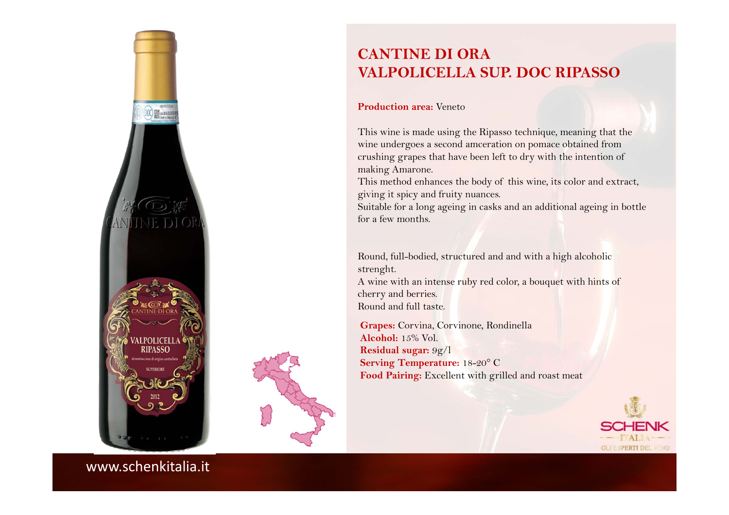



# **CANTINE DI ORAVALPOLICELLA SUP. DOC RIPASSO**

#### **Production area:** Veneto

This wine is made using the Ripasso technique, meaning that the wine undergoes a second amceration on pomace obtained from crushing grapes that have been left to dry with the intention of making Amarone.

This method enhances the body of this wine, its color and extract, giving it spicy and fruity nuances.

Suitable for a long ageing in casks and an additional ageing in bottle for a few months.

Round, full-bodied, structured and and with a high alcoholic strenght.

A wine with an intense ruby red color, a bouquet with hints of cherry and berries. Round and full taste.

**Grapes:** Corvina, Corvinone, Rondinella **Alcohol:** 15% Vol.**Residual sugar:** 9g/l **Serving Temperature:** 18-20° C **Food Pairing:** Excellent with grilled and roast meat